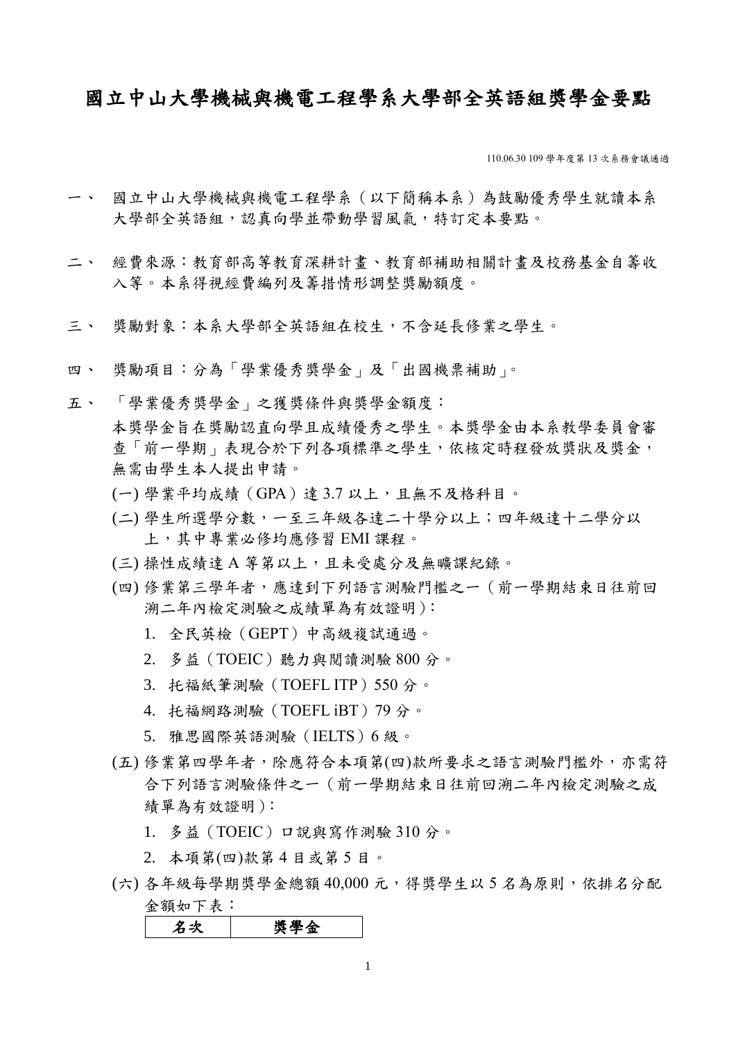## 國立中山大學機械與機電工程學系大學部全英語組獎學金要點

110.06.30 109 學年度第 13 次系務會議通過

- 一、 國立中山大學機械與機電工程學系(以下簡稱本系)為鼓勵優秀學生就讀本系 大學部全英語組,認真向學並帶動學習風氣,特訂定本要點。
- 二、 經費來源:教育部高等教育深耕計畫、教育部補助相關計畫及校務基金自籌收 入等。本系得視經費編列及籌措情形調整獎勵額度。
- 三、 獎勵對象:本系大學部全英語組在校生,不含延長修業之學生。
- 四、 獎勵項目:分為「學業優秀獎學金」及「出國機票補助」。
- 五、 「學業優秀獎學金」之獲獎條件與獎學金額度: 本獎學金旨在獎勵認直向學且成績優秀之學生。本獎學金由本系教學委員會審 查「前一學期」表現合於下列各項標準之學生,依核定時程發放獎狀及獎金, 無需由學生本人提出申請。
	- (一) 學業平均成績(GPA)達 3.7 以上,且無不及格科目。
	- (二) 學生所選學分數,一至三年級各達二十學分以上;四年級達十二學分以 上,其中專業必修均應修習 EMI 課程。
	- (三) 操性成績達 A 等第以上,且未受處分及無曠課紀錄。
	- (四) 修業第三學年者,應達到下列語言測驗門檻之一(前一學期結束日往前回 溯二年內檢定測驗之成績單為有效證明):
		- 1. 全民英檢(GEPT)中高級複試通過。
		- 2. 多益(TOEIC)聽力與閱讀測驗 800 分。
		- 3. 托福紙筆測驗(TOEFL ITP)550 分。
		- 4. 托福網路測驗 (TOEFL iBT) 79 分。
		- 5. 雅思國際英語測驗(IELTS)6 級。
	- (五) 修業第四學年者,除應符合本項第(四)款所要求之語言測驗門檻外,亦需符 合下列語言測驗條件之一(前一學期結束日往前回溯二年內檢定測驗之成 績單為有效證明):
		- 1. 多益(TOEIC)口說與寫作測驗 310 分。
		- 2. 本項第(四)款第 4 目或第 5 目。
	- (六) 各年級每學期獎學金總額 40,000 元,得獎學生以 5 名為原則,依排名分配 金額如下表:

名次 | 獎學金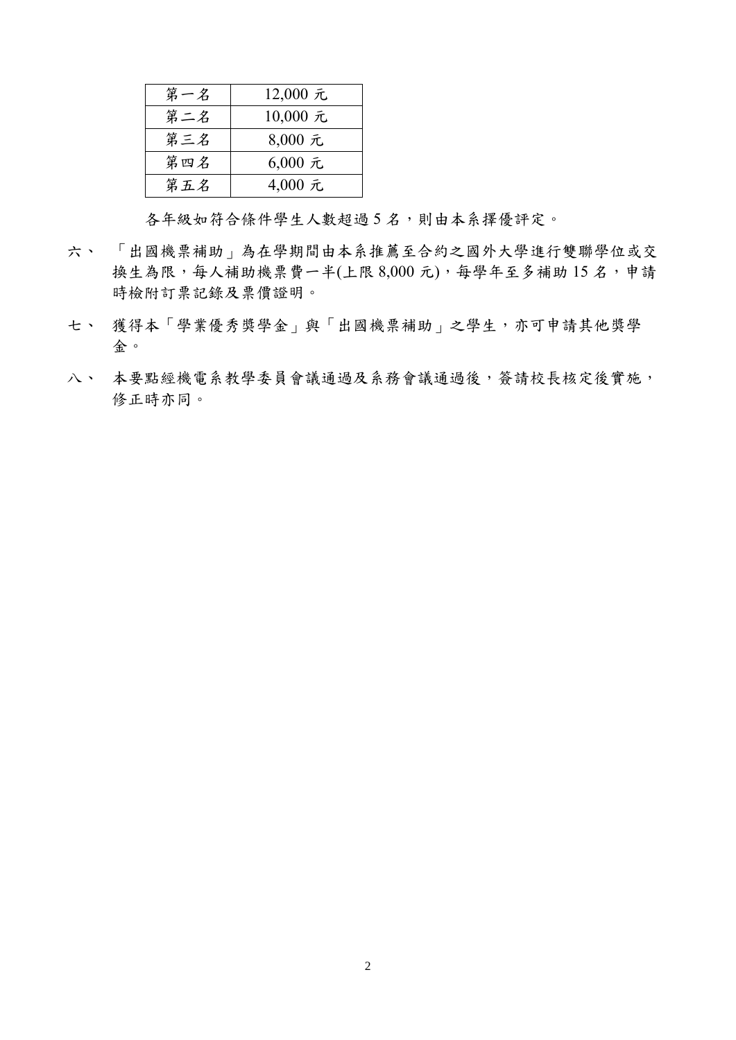| 第一名 | 12,000 元 |
|-----|----------|
| 第二名 | 10,000 元 |
| 第三名 | 8,000 元  |
| 第四名 | 6,000 元  |
| 第五名 | 4,000 元  |

各年級如符合條件學生人數超過 5 名,則由本系擇優評定。

- 六、 「出國機票補助」為在學期間由本系推薦至合約之國外大學進行雙聯學位或交 換生為限,每人補助機票費一半(上限 8,000元),每學年至多補助15名,申請 時檢附訂票記錄及票價證明。
- 七、 獲得本「學業優秀獎學金」與「出國機票補助」之學生,亦可申請其他獎學 金。
- 八、 本要點經機電系教學委員會議通過及系務會議通過後,簽請校長核定後實施, 修正時亦同。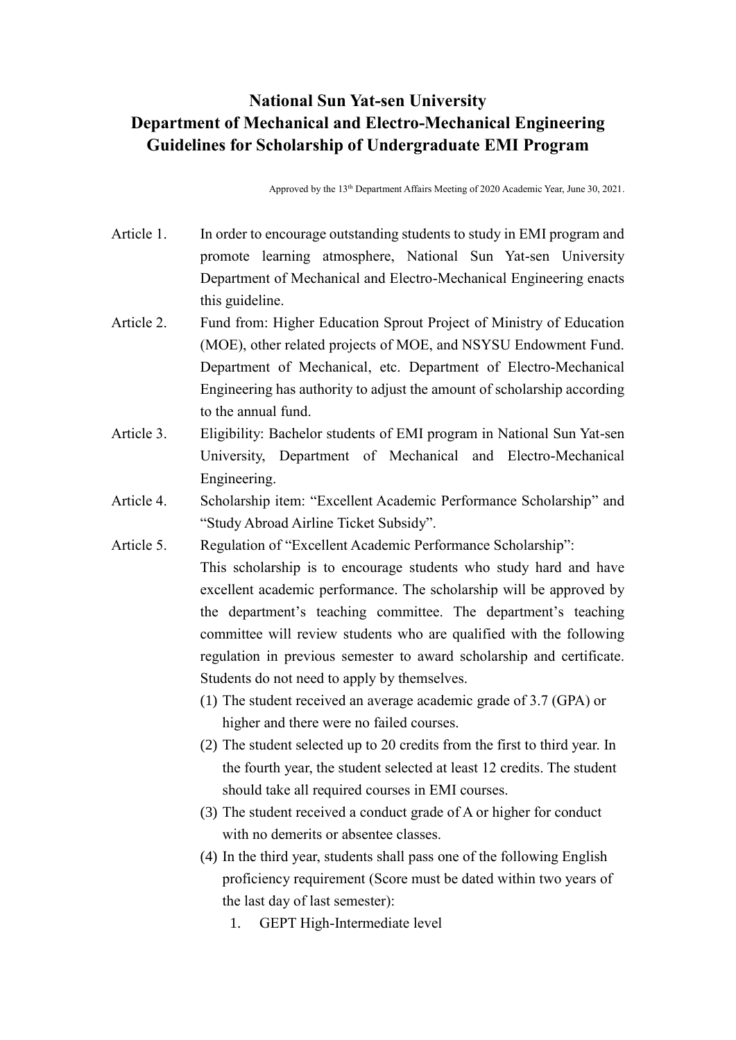## **National Sun Yat-sen University Department of Mechanical and Electro-Mechanical Engineering Guidelines for Scholarship of Undergraduate EMI Program**

Approved by the 13<sup>th</sup> Department Affairs Meeting of 2020 Academic Year, June 30, 2021.

- Article 1. In order to encourage outstanding students to study in EMI program and promote learning atmosphere, National Sun Yat-sen University Department of Mechanical and Electro-Mechanical Engineering enacts this guideline.
- Article 2. Fund from: Higher Education Sprout Project of Ministry of Education (MOE), other related projects of MOE, and NSYSU Endowment Fund. Department of Mechanical, etc. Department of Electro-Mechanical Engineering has authority to adjust the amount of scholarship according to the annual fund.
- Article 3. Eligibility: Bachelor students of EMI program in National Sun Yat-sen University, Department of Mechanical and Electro-Mechanical Engineering.
- Article 4. Scholarship item: "Excellent Academic Performance Scholarship" and "Study Abroad Airline Ticket Subsidy".
- Article 5. Regulation of "Excellent Academic Performance Scholarship": This scholarship is to encourage students who study hard and have excellent academic performance. The scholarship will be approved by the department's teaching committee. The department's teaching committee will review students who are qualified with the following regulation in previous semester to award scholarship and certificate. Students do not need to apply by themselves.
	- (1) The student received an average academic grade of 3.7 (GPA) or higher and there were no failed courses.
	- (2) The student selected up to 20 credits from the first to third year. In the fourth year, the student selected at least 12 credits. The student should take all required courses in EMI courses.
	- (3) The student received a conduct grade of A or higher for conduct with no demerits or absentee classes.
	- (4) In the third year, students shall pass one of the following English proficiency requirement (Score must be dated within two years of the last day of last semester):
		- 1. GEPT High-Intermediate level